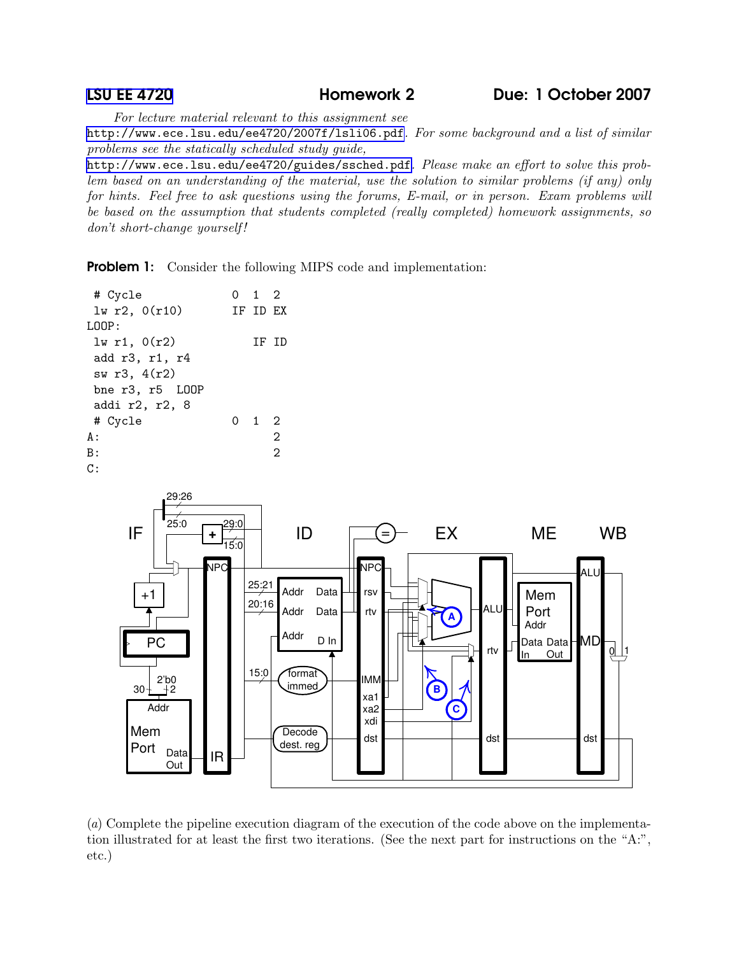For lecture material relevant to this assignment see

<http://www.ece.lsu.edu/ee4720/2007f/lsli06.pdf>. For some background and a list of similar problems see the statically scheduled study guide,

<http://www.ece.lsu.edu/ee4720/guides/ssched.pdf>. Please make an effort to solve this problem based on an understanding of the material, use the solution to similar problems (if any) only for hints. Feel free to ask questions using the forums, E-mail, or in person. Exam problems will be based on the assumption that students completed (really completed) homework assignments, so don't short-change yourself!

**Problem 1:** Consider the following MIPS code and implementation:

| # Cycle                | $0 \quad 1 \quad 2$ |   |
|------------------------|---------------------|---|
| lw r2, 0(r10)          | TF TD EX            |   |
| T.OOP:                 |                     |   |
| $lw$ r1, $0(r2)$       | TF TD               |   |
| add r3, r1, r4         |                     |   |
| sw r3, 4(r2)           |                     |   |
| bne $r3$ , $r5$ $L00P$ |                     |   |
| addi r2, r2, 8         |                     |   |
| # Cycle                | 0 1 2               |   |
| A :                    |                     | 2 |
| B:                     |                     | 2 |
| C:                     |                     |   |



(a) Complete the pipeline execution diagram of the execution of the code above on the implementation illustrated for at least the first two iterations. (See the next part for instructions on the "A:", etc.)